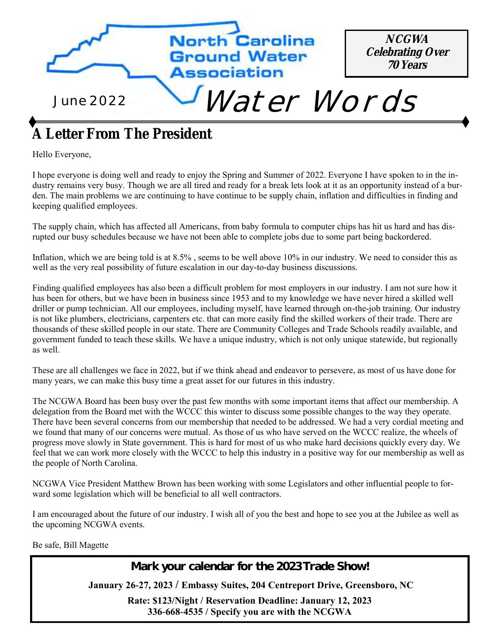

**A Letter From The President** 

Hello Everyone,

I hope everyone is doing well and ready to enjoy the Spring and Summer of 2022. Everyone I have spoken to in the industry remains very busy. Though we are all tired and ready for a break lets look at it as an opportunity instead of a burden. The main problems we are continuing to have continue to be supply chain, inflation and difficulties in finding and keeping qualified employees.

The supply chain, which has affected all Americans, from baby formula to computer chips has hit us hard and has disrupted our busy schedules because we have not been able to complete jobs due to some part being backordered.

Inflation, which we are being told is at 8.5% , seems to be well above 10% in our industry. We need to consider this as well as the very real possibility of future escalation in our day-to-day business discussions.

driller or pump technician. All our employees, including myself, have learned through on-the-job training. Our industry Finding qualified employees has also been a difficult problem for most employers in our industry. I am not sure how it has been for others, but we have been in business since 1953 and to my knowledge we have never hired a skilled well is not like plumbers, electricians, carpenters etc. that can more easily find the skilled workers of their trade. There are thousands of these skilled people in our state. There are Community Colleges and Trade Schools readily available, and government funded to teach these skills. We have a unique industry, which is not only unique statewide, but regionally as well.

These are all challenges we face in 2022, but if we think ahead and endeavor to persevere, as most of us have done for many years, we can make this busy time a great asset for our futures in this industry.

The NCGWA Board has been busy over the past few months with some important items that affect our membership. A delegation from the Board met with the WCCC this winter to discuss some possible changes to the way they operate. There have been several concerns from our membership that needed to be addressed. We had a very cordial meeting and we found that many of our concerns were mutual. As those of us who have served on the WCCC realize, the wheels of progress move slowly in State government. This is hard for most of us who make hard decisions quickly every day. We feel that we can work more closely with the WCCC to help this industry in a positive way for our membership as well as the people of North Carolina.

NCGWA Vice President Matthew Brown has been working with some Legislators and other influential people to forward some legislation which will be beneficial to all well contractors.

I am encouraged about the future of our industry. I wish all of you the best and hope to see you at the Jubilee as well as the upcoming NCGWA events.

Be safe, Bill Magette

**Mark your calendar for the 2023 Trade Show! January 26-27, 2023 / Embassy Suites, 204 Centreport Drive, Greensboro, NC Rate: \$123/Night / Reservation Deadline: January 12, 2023 336-668-4535 / Specify you are with the NCGWA**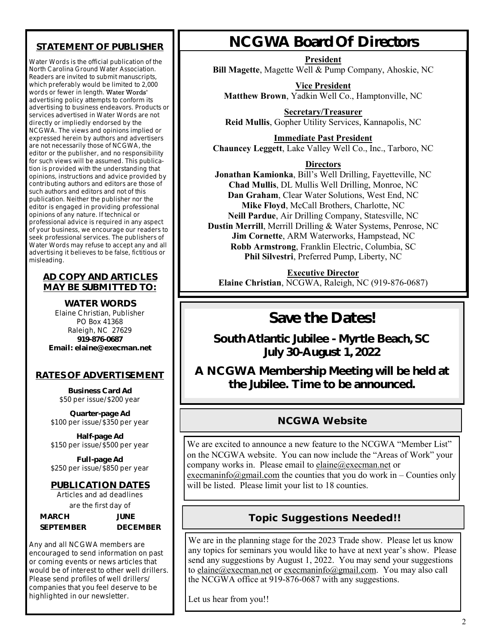# **STATEMENT OF PUBLISHER**

Water Words is the official publication of the North Carolina Ground Water Association. Readers are invited to submit manuscripts, which preferably would be limited to 2,000 words or fewer in length. Water Words' advertising policy attempts to conform its advertising to business endeavors. Products or services advertised in Water Words are not directly or impliedly endorsed by the NCGWA. The views and opinions implied or expressed herein by authors and advertisers are not necessarily those of NCGWA, the editor or the publisher, and no responsibility for such views will be assumed. This publication is provided with the understanding that opinions, instructions and advice provided by contributing authors and editors are those of such authors and editors and not of this publication. Neither the publisher nor the editor is engaged in providing professional opinions of any nature. If technical or professional advice is required in any aspect of your business, we encourage our readers to seek professional services. The publishers of Water Words may refuse to accept any and all advertising it believes to be false, fictitious or misleading.

### **AD COPY AND ARTICLES MAY BE SUBMITTED TO:**

NCGWA | 919-876-0687 | 919-878-7413 (FAX) | WWW.NCGWA.ORG **WATER WORDS** Elaine Christian, Publisher PO Box 41368 Raleigh, NC 27629 **919-876-0687 Email: elaine@execman.net**

# **RATES OF ADVERTISEMENT**

**Business Card Ad** \$50 per issue/\$200 year

**Quarter-page Ad** \$100 per issue/\$350 per year

**Half-page Ad** \$150 per issue/\$500 per year

**Full-page Ad** \$250 per issue/\$850 per year

**PUBLICATION DATES**

Articles and ad deadlines are the first day of **MARCH JUNE SEPTEMBER DECEMBER**

Any and all NCGWA members are encouraged to send information on past or coming events or news articles that would be of interest to other well drillers. Please send profiles of well drillers/ companies that you feel deserve to be highlighted in our newsletter.

# **NCGWA Board Of Directors**

**President Bill Magette**, Magette Well & Pump Company, Ahoskie, NC

**Vice President Matthew Brown**, Yadkin Well Co., Hamptonville, NC

**Secretary/Treasurer Reid Mullis**, Gopher Utility Services, Kannapolis, NC

**Immediate Past President Chauncey Leggett**, Lake Valley Well Co., Inc., Tarboro, NC

# **Directors**

**Jonathan Kamionka**, Bill's Well Drilling, Fayetteville, NC **Chad Mullis**, DL Mullis Well Drilling, Monroe, NC **Dan Graham**, Clear Water Solutions, West End, NC **Mike Floyd**, McCall Brothers, Charlotte, NC **Neill Pardue**, Air Drilling Company, Statesville, NC **Dustin Merrill**, Merrill Drilling & Water Systems, Penrose, NC **Jim Cornette**, ARM Waterworks, Hampstead, NC **Robb Armstrong**, Franklin Electric, Columbia, SC **Phil Silvestri**, Preferred Pump, Liberty, NC

**Executive Director Elaine Christian**, NCGWA, Raleigh, NC (919-876-0687)

# **Save the Dates!**

**South Atlantic Jubilee - Myrtle Beach, SC July 30-August 1, 2022**

**A NCGWA Membership Meeting will be held at the Jubilee. Time to be announced.**

# **NCGWA Website**

We are excited to announce a new feature to the NCGWA "Member List" on the NCGWA website. You can now include the "Areas of Work" your company works in. Please email to [elaine@execman.net](mailto:elaine@execman.net) or [execmaninfo@gmail.com](mailto:execmaninfo@gmail.com) the counties that you do work in – Counties only will be listed. Please limit your list to 18 counties.

# **Topic Suggestions Needed!!**

We are in the planning stage for the 2023 Trade show. Please let us know any topics for seminars you would like to have at next year's show. Please send any suggestions by August 1, 2022. You may send your suggestions to [elaine@execman.net](mailto:elaine@execman.net) or [execmaninfo@gmail.com.](mailto:execmaninfo@gmail.com) You may also call the NCGWA office at 919-876-0687 with any suggestions.

Let us hear from you!!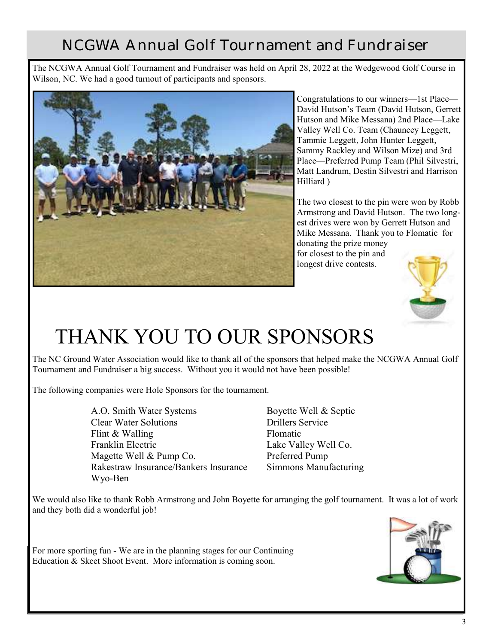# NCGWA Annual Golf Tournament and Fundraiser

The NCGWA Annual Golf Tournament and Fundraiser was held on April 28, 2022 at the Wedgewood Golf Course in Wilson, NC. We had a good turnout of participants and sponsors.



Congratulations to our winners—1st Place— David Hutson's Team (David Hutson, Gerrett Hutson and Mike Messana) 2nd Place—Lake Valley Well Co. Team (Chauncey Leggett, Tammie Leggett, John Hunter Leggett, Sammy Rackley and Wilson Mize) and 3rd Place—Preferred Pump Team (Phil Silvestri, Matt Landrum, Destin Silvestri and Harrison Hilliard )

The two closest to the pin were won by Robb Armstrong and David Hutson. The two longest drives were won by Gerrett Hutson and Mike Messana. Thank you to Flomatic for

donating the prize money for closest to the pin and longest drive contests.



# THANK YOU TO OUR SPONSORS

The NC Ground Water Association would like to thank all of the sponsors that helped make the NCGWA Annual Golf Tournament and Fundraiser a big success. Without you it would not have been possible!

The following companies were Hole Sponsors for the tournament.

A.O. Smith Water Systems Boyette Well & Septic Clear Water Solutions Drillers Service Flint & Walling Flomatic Research Research Research Research Research Research Research Research Research Research Research Research Research Research Research Research Research Research Research Research Research Research Franklin Electric Lake Valley Well Co. Magette Well & Pump Co. Preferred Pump Rakestraw Insurance/Bankers Insurance Simmons Manufacturing Wyo-Ben

We would also like to thank Robb Armstrong and John Boyette for arranging the golf tournament. It was a lot of work and they both did a wonderful job!

Education & Skeet Shoot Event. More information is coming soon. For more sporting fun - We are in the planning stages for our Continuing

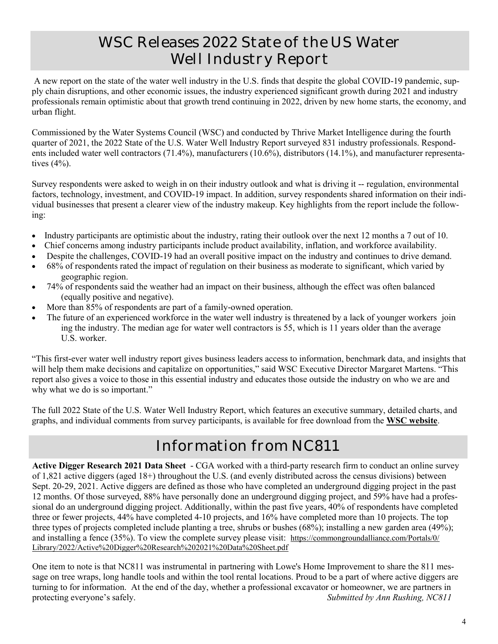# WSC Releases 2022 State of the US Water Well Industry Report

A new report on the state of the water well industry in the U.S. finds that despite the global COVID-19 pandemic, supply chain disruptions, and other economic issues, the industry experienced significant growth during 2021 and industry professionals remain optimistic about that growth trend continuing in 2022, driven by new home starts, the economy, and urban flight.

Commissioned by the Water Systems Council (WSC) and conducted by Thrive Market Intelligence during the fourth quarter of 2021, the 2022 State of the U.S. Water Well Industry Report surveyed 831 industry professionals. Respondents included water well contractors (71.4%), manufacturers (10.6%), distributors (14.1%), and manufacturer representatives (4%).

Survey respondents were asked to weigh in on their industry outlook and what is driving it -- regulation, environmental factors, technology, investment, and COVID-19 impact. In addition, survey respondents shared information on their individual businesses that present a clearer view of the industry makeup. Key highlights from the report include the following:

- Industry participants are optimistic about the industry, rating their outlook over the next 12 months a 7 out of 10.
- Chief concerns among industry participants include product availability, inflation, and workforce availability.
- Despite the challenges, COVID-19 had an overall positive impact on the industry and continues to drive demand.
- 68% of respondents rated the impact of regulation on their business as moderate to significant, which varied by geographic region.
- 74% of respondents said the weather had an impact on their business, although the effect was often balanced (equally positive and negative).
- More than 85% of respondents are part of a family-owned operation.
- The future of an experienced workforce in the water well industry is threatened by a lack of younger workers join ing the industry. The median age for water well contractors is 55, which is 11 years older than the average U.S. worker.

―This first-ever water well industry report gives business leaders access to information, benchmark data, and insights that will help them make decisions and capitalize on opportunities," said WSC Executive Director Margaret Martens. "This report also gives a voice to those in this essential industry and educates those outside the industry on who we are and why what we do is so important."

The full 2022 State of the U.S. Water Well Industry Report, which features an executive summary, detailed charts, and graphs, and individual comments from survey participants, is available for free download from the **[WSC website](https://r20.rs6.net/tn.jsp?f=0011psbfPOfIu6aAd4V_nDydX2sJPsvXTmtWCNMk72pB-_S66amFSmlq7qgGkrKWvcX-JbEAAo0t_ypxfQ9lDprPiBMQOQNfbifZUfSibWtvDro0MdnPRf8GCGinjawZPVuzYf3X6SrbzLHpatu9k4SwpiZaQMuFz9-0LG7mj0yo7Ywx8gMTP9Glqp_nZf-NdpO9ltH7VyOh6E=&c=YX1NUZDPJFiwozVD1wSe)**.

# Information from NC811

**Active Digger Research 2021 Data Sheet** - CGA worked with a third-party research firm to conduct an online survey of 1,821 active diggers (aged 18+) throughout the U.S. (and evenly distributed across the census divisions) between Sept. 20-29, 2021. Active diggers are defined as those who have completed an underground digging project in the past 12 months. Of those surveyed, 88% have personally done an underground digging project, and 59% have had a professional do an underground digging project. Additionally, within the past five years, 40% of respondents have completed three or fewer projects, 44% have completed 4-10 projects, and 16% have completed more than 10 projects. The top three types of projects completed include planting a tree, shrubs or bushes (68%); installing a new garden area (49%); and installing a fence (35%). To view the complete survey please visit: [https://commongroundalliance.com/Portals/0/](https://commongroundalliance.com/Portals/0/Library/2022/Active%20Digger%20Research%202021%20Data%20Sheet.pdf) [Library/2022/Active%20Digger%20Research%202021%20Data%20Sheet.pdf](https://commongroundalliance.com/Portals/0/Library/2022/Active%20Digger%20Research%202021%20Data%20Sheet.pdf)

One item to note is that NC811 was instrumental in partnering with Lowe's Home Improvement to share the 811 message on tree wraps, long handle tools and within the tool rental locations. Proud to be a part of where active diggers are turning to for information. At the end of the day, whether a professional excavator or homeowner, we are partners in protecting everyone's safely. *Submitted by Ann Rushing, NC811*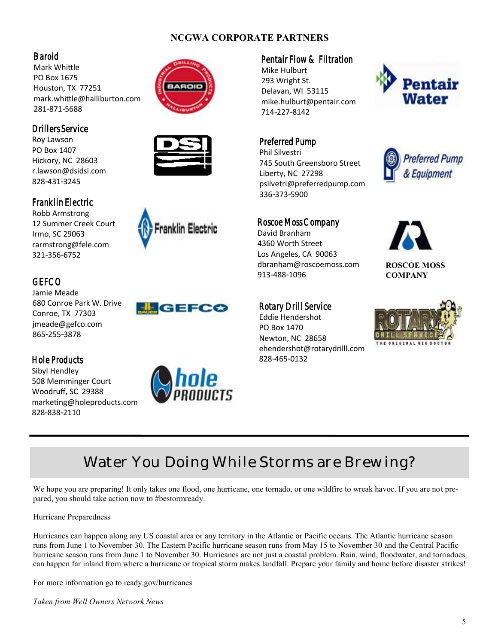# **NCGWA CORPORATE PARTNERS**

# Baroid

Mark Whittle PO Box 1675 Houston, TX 77251 mark.whittle@halliburton.com 281-871-5688

Drillers Service

Roy Lawson PO Box 1407 Hickory, NC 28603 r.lawson@dsidsi.com 828-431-3245

# Franklin Electric

Robb Armstrong 12 Summer Creek Court Irmo, SC 29063 rarmstrong@fele.com 321-356-6752

# **GEFCO**

Jamie Meade 680 Conroe Park W. Drive Conroe, TX 77303 jmeade@gefco.com 865-255-3878

# Hole Products

Sibyl Hendley 508 Memminger Court Woodruff, SC 29388 marketing@holeproducts.com 828-838-2110





293 Wright St. Delavan, WI 53115 mike.hulburt@pentair.com 714-227-8142



# Preferred Pump

Phil Silvestri 745 South Greensboro Street Liberty, NC 27298 psilvetri@preferredpump.com 336-373-5900

Roscoe Moss Company

David Branham 4360 Worth Street Los Angeles, CA 90063 dbranham@roscoemoss.com

913-488-1096





**ROSCOE MOSS COMPANY**



# $\mathbb{R}^N$ . Drive  $\mathbb{R}$  **GEFCO** Rotary Drill Service Eddie Hendershot PO Box 1470 Newton, NC 28658 ehendershot@rotarydrilll.com 828-465-0132

# Water You Doing While Storms are Brewing?

We hope you are preparing! It only takes one flood, one hurricane, one tornado, or one wildfire to wreak havoc. If you are not prepared, you should take action now to #bestormready.

Hurricane Preparedness

Hurricanes can happen along any US coastal area or any territory in the Atlantic or Pacific oceans. The Atlantic hurricane season runs from June 1 to November 30. The Eastern Pacific hurricane season runs from May 15 to November 30 and the Central Pacific hurricane season runs from June 1 to November 30. Hurricanes are not just a coastal problem. Rain, wind, floodwater, and tornadoes can happen far inland from where a hurricane or tropical storm makes landfall. Prepare your family and home before disaster strikes!

For more information go to ready.gov/hurricanes

*Taken from Well Owners Network News*



ranklin Electric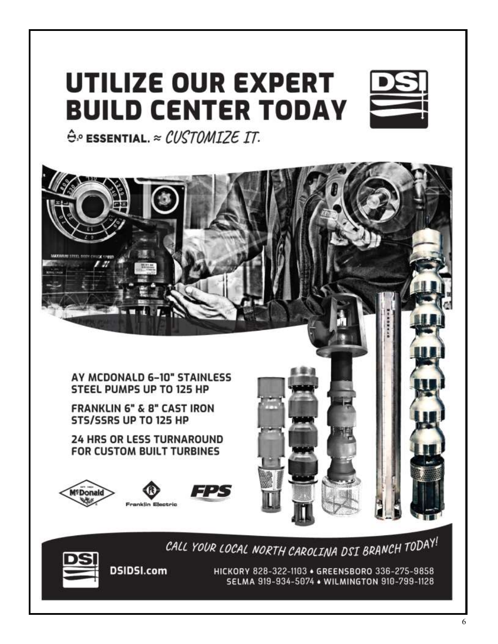# UTILIZE OUR EXPERT **BUILD CENTER TODAY**



**Ô.º ESSENTIAL.** ≈ CUSTOMIZE IT.





DSIDSI.com

CALL YOUR LOCAL NORTH CAROLINA DSI BRANCH TODAY!

HICKORY 828-322-1103 . GREENSBORO 336-275-9858 SELMA 919-934-5074 . WILMINGTON 910-799-1128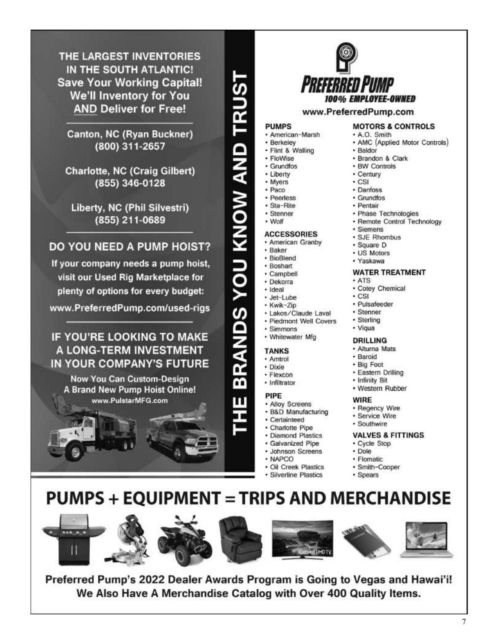THE LARGEST INVENTORIES IN THE SOUTH ATLANTIC! **Save Your Working Capital! We'll Inventory for You AND Deliver for Free!** 

Canton, NC (Ryan Buckner) (800) 311-2657

**Charlotte, NC (Craig Gilbert)** (855) 346-0128

Liberty, NC (Phil Silvestri) (855) 211-0689

# DO YOU NEED A PUMP HOIST?

If your company needs a pump hoist, visit our Used Rig Marketplace for plenty of options for every budget:

www.PreferredPump.com/used-rigs

# **IF YOU'RE LOOKING TO MAKE** A LONG-TERM INVESTMENT IN YOUR COMPANY'S FUTURE

**Now You Can Custom-Design** A Brand New Pump Hoist Online! www.PulstarMFG.com



# BRANDS YOU KNOW AND TRUST Ш



# www.PreferredPump.com

#### **PUMPS**

- · American-Marsh
- · Berkeley · Flint & Walling
- · FloWise
- · Grundfos
- Liberty
- Myers
- $Paco$
- · Peerless
- · Sta-Rite
- · Stenner

# · Wolf

- **ACCESSORIES**
- · American Granby
- $-$ Raker
- · BioBlend
- · Boshart
- · Campbell
- · Dekorra
- · Ideal
- · Jet-Lube
- · Kwik-Zip
- · Lakos/Claude Laval · Piedmont Well Covers
- · Simmons
- · Whitewater Mfg

# **TANKS**

- · Amtrol
- · Dixie
- · Flexcon
- · Infiltrator

#### PIPE

- · Alloy Screens
- · B&D Manufacturing
- · Certainteed
- · Charlotte Pipe · Diamond Plastics
- 
- · Galvanized Pipe · Johnson Screens
- · NAPCO
- 
- · Oil Creek Plastics · Silverline Plastics

#### **MOTORS & CONTROLS** · A.O. Smith

- AMC (Applied Motor Controls)
- · Baldor
- · Brandon & Clark
- · BW Controls
- · Century  $\cdot$  CSI
- · Danfoss
- · Grundfos
- · Pentair
- · Phase Technologies
- · Remote Control Technology
- · Siemens
- · SJE Rhombus
- · Square D
- US Motors
- · Yaskawa

# **WATER TREATMENT**

- $•$  ATS
- · Cotey Chemical
- $\cdot$  CSI
- · Pulsafeeder
- · Stenner
- · Sterling
- · Vigua

# **DRILLING**

- · Alturna Mats
- · Baroid
- · Big Foot
- · Eastern Drilling
- · Infinity Bit
- · Western Rubber

# **WIRE**

- · Regency Wire
- · Service Wire
- · Southwire

# **VALVES & FITTINGS**

 $\overline{7}$ 

- · Cycle Stop
- · Dole
- · Flomatic
- · Smith-Cooper
- · Spears

# **PUMPS + EQUIPMENT = TRIPS AND MERCHANDISE**

Preferred Pump's 2022 Dealer Awards Program is Going to Vegas and Hawai'i! We Also Have A Merchandise Catalog with Over 400 Quality Items.